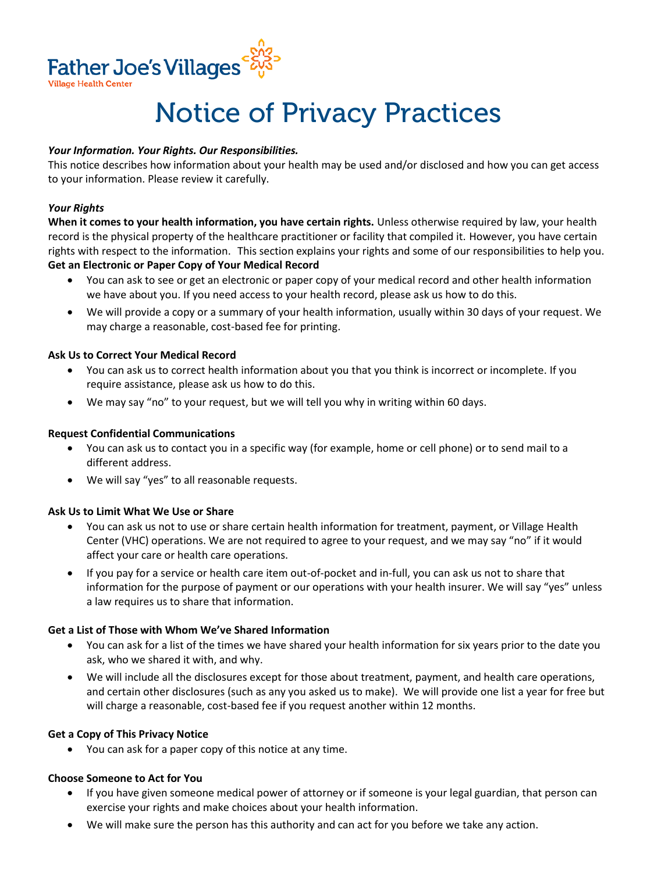

# Notice of Privacy Practices

# *Your Information. Your Rights. Our Responsibilities.*

This notice describes how information about your health may be used and/or disclosed and how you can get access to your information. Please review it carefully.

## *Your Rights*

**When it comes to your health information, you have certain rights.** Unless otherwise required by law, your health record is the physical property of the healthcare practitioner or facility that compiled it. However, you have certain rights with respect to the information. This section explains your rights and some of our responsibilities to help you. **Get an Electronic or Paper Copy of Your Medical Record** 

- You can ask to see or get an electronic or paper copy of your medical record and other health information we have about you. If you need access to your health record, please ask us how to do this.
- We will provide a copy or a summary of your health information, usually within 30 days of your request. We may charge a reasonable, cost-based fee for printing.

# **Ask Us to Correct Your Medical Record**

- You can ask us to correct health information about you that you think is incorrect or incomplete. If you require assistance, please ask us how to do this.
- We may say "no" to your request, but we will tell you why in writing within 60 days.

## **Request Confidential Communications**

- You can ask us to contact you in a specific way (for example, home or cell phone) or to send mail to a different address.
- We will say "yes" to all reasonable requests.

### **Ask Us to Limit What We Use or Share**

- You can ask us not to use or share certain health information for treatment, payment, or Village Health Center (VHC) operations. We are not required to agree to your request, and we may say "no" if it would affect your care or health care operations.
- If you pay for a service or health care item out-of-pocket and in-full, you can ask us not to share that information for the purpose of payment or our operations with your health insurer. We will say "yes" unless a law requires us to share that information.

### **Get a List of Those with Whom We've Shared Information**

- You can ask for a list of the times we have shared your health information for six years prior to the date you ask, who we shared it with, and why.
- We will include all the disclosures except for those about treatment, payment, and health care operations, and certain other disclosures (such as any you asked us to make). We will provide one list a year for free but will charge a reasonable, cost-based fee if you request another within 12 months.

### **Get a Copy of This Privacy Notice**

You can ask for a paper copy of this notice at any time.

### **Choose Someone to Act for You**

- If you have given someone medical power of attorney or if someone is your legal guardian, that person can exercise your rights and make choices about your health information.
- We will make sure the person has this authority and can act for you before we take any action.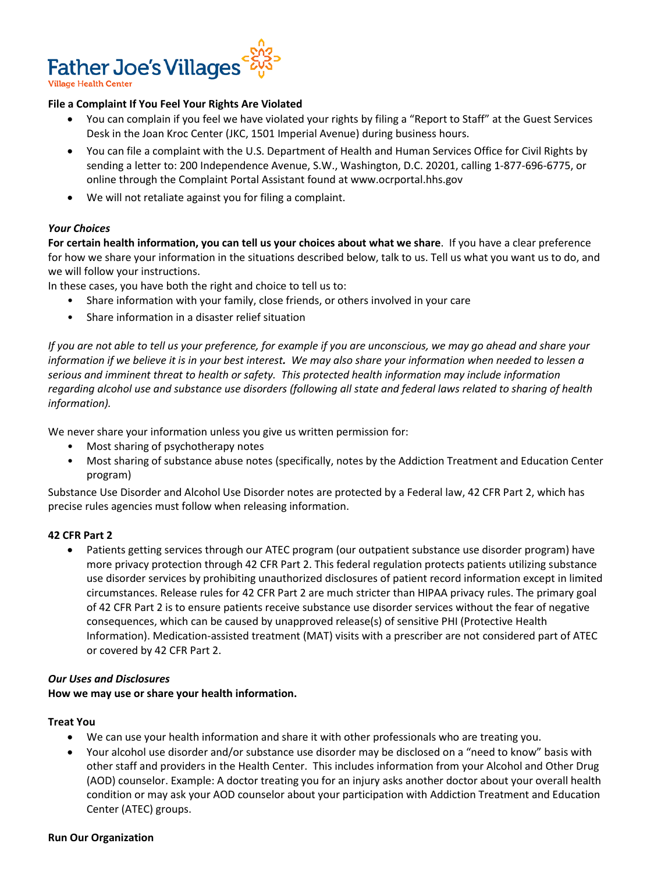

# **File a Complaint If You Feel Your Rights Are Violated**

- You can complain if you feel we have violated your rights by filing a "Report to Staff" at the Guest Services Desk in the Joan Kroc Center (JKC, 1501 Imperial Avenue) during business hours.
- You can file a complaint with the U.S. Department of Health and Human Services Office for Civil Rights by sending a letter to: 200 Independence Avenue, S.W., Washington, D.C. 20201, calling 1-877-696-6775, or online through the Complaint Portal Assistant found at www.ocrportal.hhs.gov
- We will not retaliate against you for filing a complaint.

# *Your Choices*

**For certain health information, you can tell us your choices about what we share**. If you have a clear preference for how we share your information in the situations described below, talk to us. Tell us what you want us to do, and we will follow your instructions.

In these cases, you have both the right and choice to tell us to:

- Share information with your family, close friends, or others involved in your care
- Share information in a disaster relief situation

*If you are not able to tell us your preference, for example if you are unconscious, we may go ahead and share your information if we believe it is in your best interest. We may also share your information when needed to lessen a serious and imminent threat to health or safety. This protected health information may include information regarding alcohol use and substance use disorders (following all state and federal laws related to sharing of health information).*

We never share your information unless you give us written permission for:

- Most sharing of psychotherapy notes
- Most sharing of substance abuse notes (specifically, notes by the Addiction Treatment and Education Center program)

Substance Use Disorder and Alcohol Use Disorder notes are protected by a Federal law, 42 CFR Part 2, which has precise rules agencies must follow when releasing information.

### **42 CFR Part 2**

 Patients getting services through our ATEC program (our outpatient substance use disorder program) have more privacy protection through 42 CFR Part 2. This federal regulation protects patients utilizing substance use disorder services by prohibiting unauthorized disclosures of patient record information except in limited circumstances. Release rules for 42 CFR Part 2 are much stricter than HIPAA privacy rules. The primary goal of 42 CFR Part 2 is to ensure patients receive substance use disorder services without the fear of negative consequences, which can be caused by unapproved release(s) of sensitive PHI (Protective Health Information). Medication-assisted treatment (MAT) visits with a prescriber are not considered part of ATEC or covered by 42 CFR Part 2.

### *Our Uses and Disclosures*

**How we may use or share your health information.** 

### **Treat You**

- We can use your health information and share it with other professionals who are treating you.
- Your alcohol use disorder and/or substance use disorder may be disclosed on a "need to know" basis with other staff and providers in the Health Center. This includes information from your Alcohol and Other Drug (AOD) counselor. Example: A doctor treating you for an injury asks another doctor about your overall health condition or may ask your AOD counselor about your participation with Addiction Treatment and Education Center (ATEC) groups.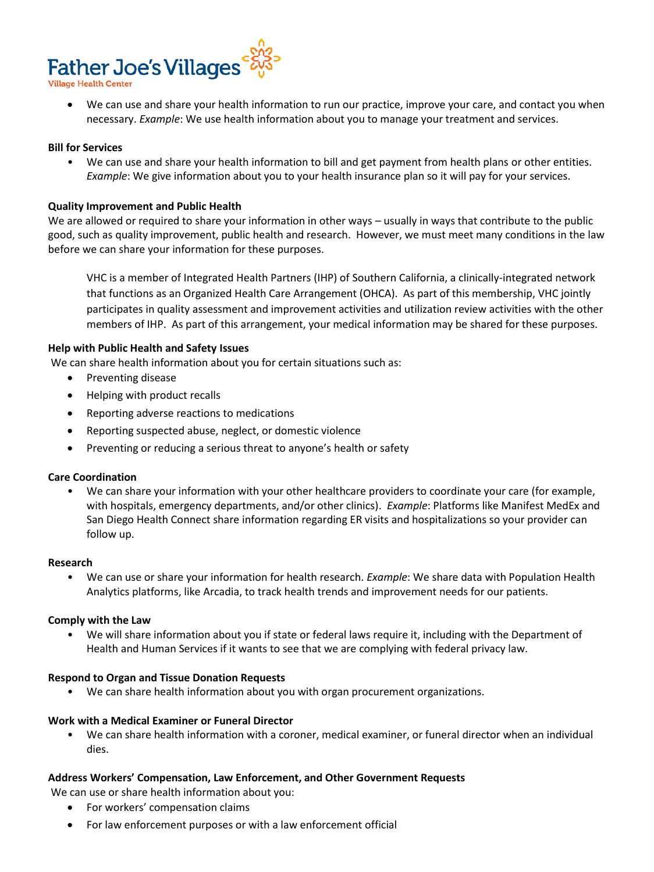

 We can use and share your health information to run our practice, improve your care, and contact you when necessary. *Example*: We use health information about you to manage your treatment and services.

### **Bill for Services**

• We can use and share your health information to bill and get payment from health plans or other entities. *Example*: We give information about you to your health insurance plan so it will pay for your services.

#### **Quality Improvement and Public Health**

We are allowed or required to share your information in other ways – usually in ways that contribute to the public good, such as quality improvement, public health and research. However, we must meet many conditions in the law before we can share your information for these purposes.

VHC is a member of Integrated Health Partners (IHP) of Southern California, a clinically-integrated network that functions as an Organized Health Care Arrangement (OHCA). As part of this membership, VHC jointly participates in quality assessment and improvement activities and utilization review activities with the other members of IHP. As part of this arrangement, your medical information may be shared for these purposes.

#### **Help with Public Health and Safety Issues**

We can share health information about you for certain situations such as:

- Preventing disease
- Helping with product recalls
- Reporting adverse reactions to medications
- Reporting suspected abuse, neglect, or domestic violence
- Preventing or reducing a serious threat to anyone's health or safety

### **Care Coordination**

• We can share your information with your other healthcare providers to coordinate your care (for example, with hospitals, emergency departments, and/or other clinics). *Example*: Platforms like Manifest MedEx and San Diego Health Connect share information regarding ER visits and hospitalizations so your provider can follow up.

#### **Research**

• We can use or share your information for health research. *Example*: We share data with Population Health Analytics platforms, like Arcadia, to track health trends and improvement needs for our patients.

#### **Comply with the Law**

• We will share information about you if state or federal laws require it, including with the Department of Health and Human Services if it wants to see that we are complying with federal privacy law.

### **Respond to Organ and Tissue Donation Requests**

• We can share health information about you with organ procurement organizations.

#### **Work with a Medical Examiner or Funeral Director**

• We can share health information with a coroner, medical examiner, or funeral director when an individual dies.

### **Address Workers' Compensation, Law Enforcement, and Other Government Requests**

We can use or share health information about you:

- For workers' compensation claims
- For law enforcement purposes or with a law enforcement official